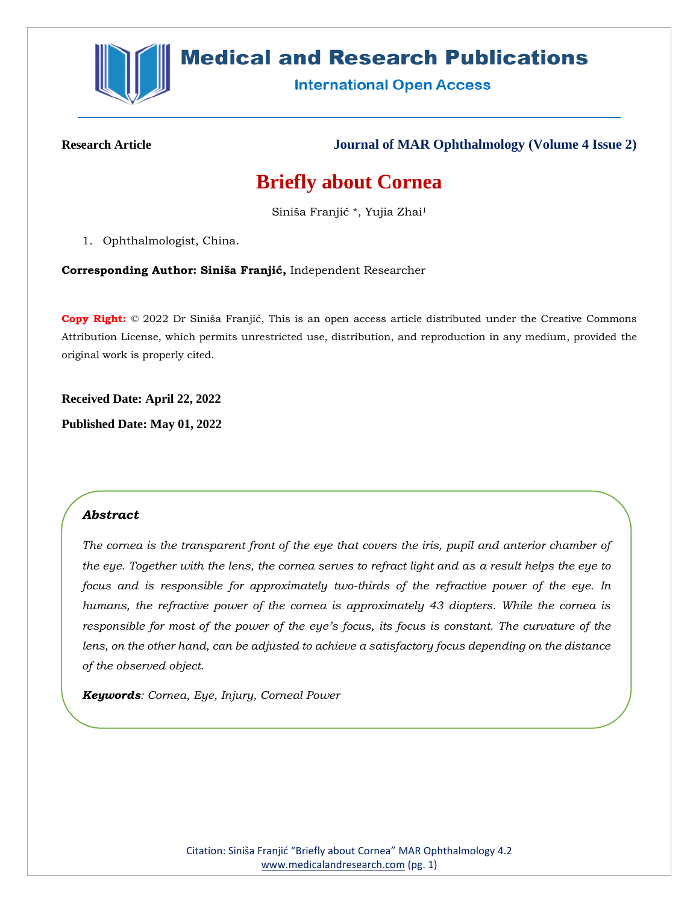

# **Medical and Research Publications**

**International Open Access** 

**Research Article Journal of MAR Ophthalmology (Volume 4 Issue 2)**

# **Briefly about Cornea**

Siniša Franjić \*, Yujia Zhai<sup>1</sup>

1. Ophthalmologist, China.

**Corresponding Author: Siniša Franjić,** Independent Researcher

**Copy Right:** © 2022 Dr Siniša Franjić, This is an open access article distributed under the Creative Commons Attribution License, which permits unrestricted use, distribution, and reproduction in any medium, provided the original work is properly cited.

**Received Date: April 22, 2022**

**Published Date: May 01, 2022**

# *Abstract*

*The cornea is the transparent front of the eye that covers the iris, pupil and anterior chamber of the eye. Together with the lens, the cornea serves to refract light and as a result helps the eye to focus and is responsible for approximately two-thirds of the refractive power of the eye. In humans, the refractive power of the cornea is approximately 43 diopters. While the cornea is responsible for most of the power of the eye's focus, its focus is constant. The curvature of the lens, on the other hand, can be adjusted to achieve a satisfactory focus depending on the distance of the observed object.*

*Keywords: Cornea, Eye, Injury, Corneal Power*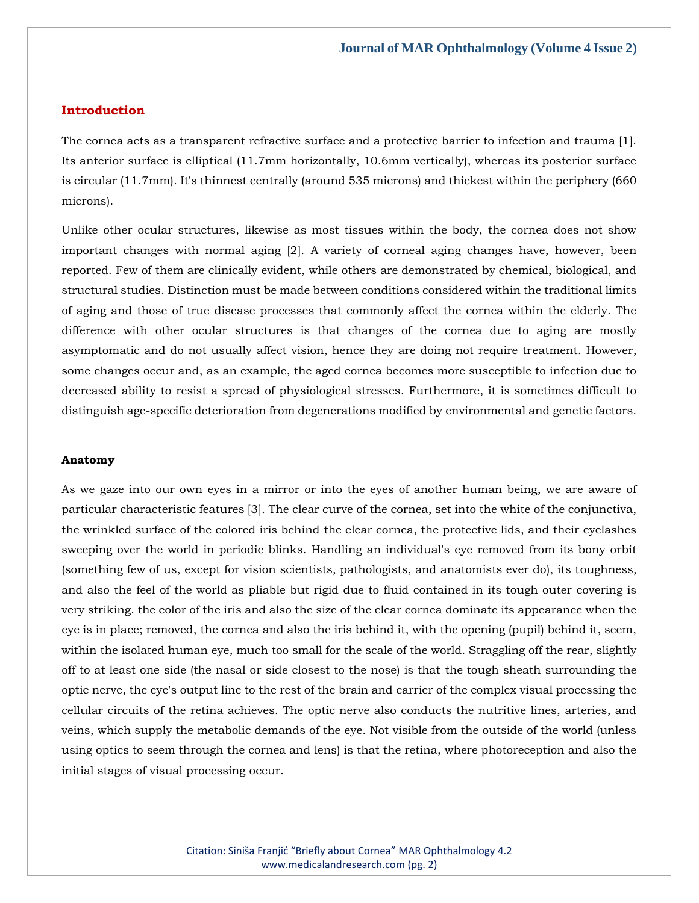# **Introduction**

The cornea acts as a transparent refractive surface and a protective barrier to infection and trauma [1]. Its anterior surface is elliptical (11.7mm horizontally, 10.6mm vertically), whereas its posterior surface is circular (11.7mm). It's thinnest centrally (around 535 microns) and thickest within the periphery (660 microns).

Unlike other ocular structures, likewise as most tissues within the body, the cornea does not show important changes with normal aging [2]. A variety of corneal aging changes have, however, been reported. Few of them are clinically evident, while others are demonstrated by chemical, biological, and structural studies. Distinction must be made between conditions considered within the traditional limits of aging and those of true disease processes that commonly affect the cornea within the elderly. The difference with other ocular structures is that changes of the cornea due to aging are mostly asymptomatic and do not usually affect vision, hence they are doing not require treatment. However, some changes occur and, as an example, the aged cornea becomes more susceptible to infection due to decreased ability to resist a spread of physiological stresses. Furthermore, it is sometimes difficult to distinguish age-specific deterioration from degenerations modified by environmental and genetic factors.

#### **Anatomy**

As we gaze into our own eyes in a mirror or into the eyes of another human being, we are aware of particular characteristic features [3]. The clear curve of the cornea, set into the white of the conjunctiva, the wrinkled surface of the colored iris behind the clear cornea, the protective lids, and their eyelashes sweeping over the world in periodic blinks. Handling an individual's eye removed from its bony orbit (something few of us, except for vision scientists, pathologists, and anatomists ever do), its toughness, and also the feel of the world as pliable but rigid due to fluid contained in its tough outer covering is very striking. the color of the iris and also the size of the clear cornea dominate its appearance when the eye is in place; removed, the cornea and also the iris behind it, with the opening (pupil) behind it, seem, within the isolated human eye, much too small for the scale of the world. Straggling off the rear, slightly off to at least one side (the nasal or side closest to the nose) is that the tough sheath surrounding the optic nerve, the eye's output line to the rest of the brain and carrier of the complex visual processing the cellular circuits of the retina achieves. The optic nerve also conducts the nutritive lines, arteries, and veins, which supply the metabolic demands of the eye. Not visible from the outside of the world (unless using optics to seem through the cornea and lens) is that the retina, where photoreception and also the initial stages of visual processing occur.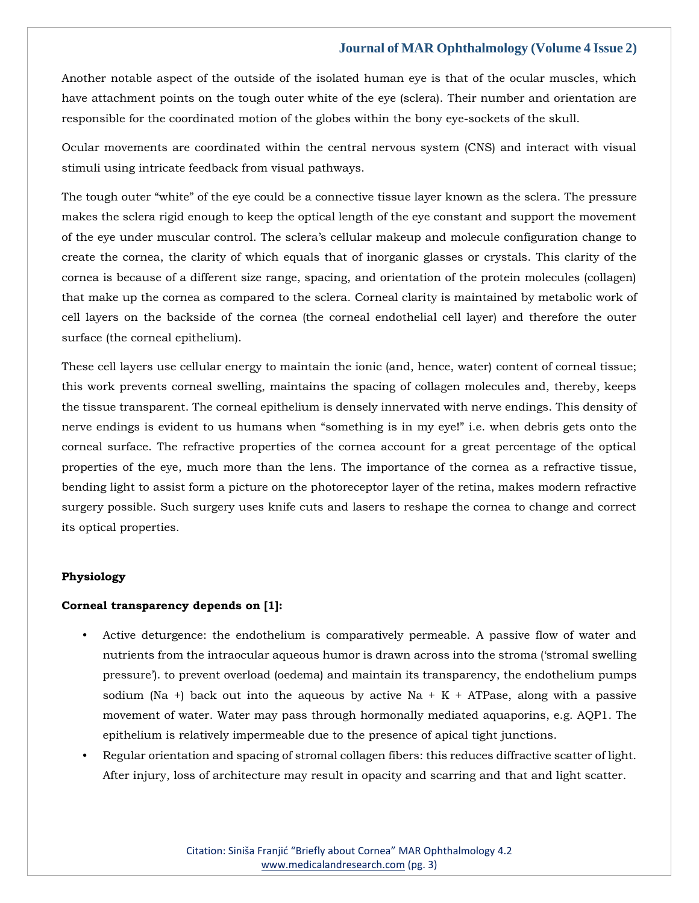Another notable aspect of the outside of the isolated human eye is that of the ocular muscles, which have attachment points on the tough outer white of the eye (sclera). Their number and orientation are responsible for the coordinated motion of the globes within the bony eye-sockets of the skull.

Ocular movements are coordinated within the central nervous system (CNS) and interact with visual stimuli using intricate feedback from visual pathways.

The tough outer "white" of the eye could be a connective tissue layer known as the sclera. The pressure makes the sclera rigid enough to keep the optical length of the eye constant and support the movement of the eye under muscular control. The sclera's cellular makeup and molecule configuration change to create the cornea, the clarity of which equals that of inorganic glasses or crystals. This clarity of the cornea is because of a different size range, spacing, and orientation of the protein molecules (collagen) that make up the cornea as compared to the sclera. Corneal clarity is maintained by metabolic work of cell layers on the backside of the cornea (the corneal endothelial cell layer) and therefore the outer surface (the corneal epithelium).

These cell layers use cellular energy to maintain the ionic (and, hence, water) content of corneal tissue; this work prevents corneal swelling, maintains the spacing of collagen molecules and, thereby, keeps the tissue transparent. The corneal epithelium is densely innervated with nerve endings. This density of nerve endings is evident to us humans when "something is in my eye!" i.e. when debris gets onto the corneal surface. The refractive properties of the cornea account for a great percentage of the optical properties of the eye, much more than the lens. The importance of the cornea as a refractive tissue, bending light to assist form a picture on the photoreceptor layer of the retina, makes modern refractive surgery possible. Such surgery uses knife cuts and lasers to reshape the cornea to change and correct its optical properties.

#### **Physiology**

#### **Corneal transparency depends on [1]:**

- Active deturgence: the endothelium is comparatively permeable. A passive flow of water and nutrients from the intraocular aqueous humor is drawn across into the stroma ('stromal swelling pressure'). to prevent overload (oedema) and maintain its transparency, the endothelium pumps sodium (Na +) back out into the aqueous by active Na +  $K + ATP$ ase, along with a passive movement of water. Water may pass through hormonally mediated aquaporins, e.g. AQP1. The epithelium is relatively impermeable due to the presence of apical tight junctions.
- Regular orientation and spacing of stromal collagen fibers: this reduces diffractive scatter of light. After injury, loss of architecture may result in opacity and scarring and that and light scatter.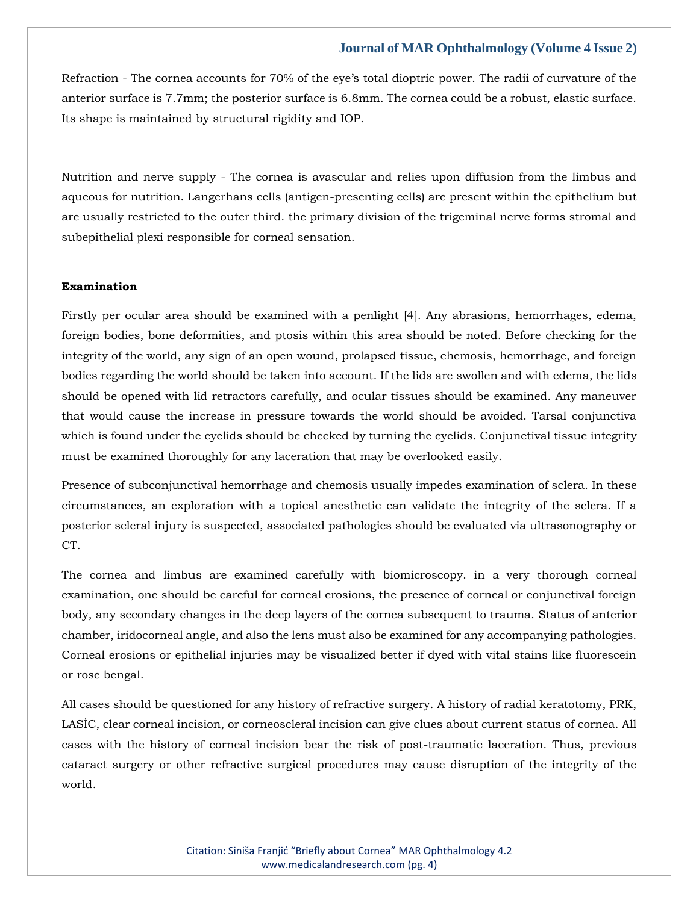Refraction - The cornea accounts for 70% of the eye's total dioptric power. The radii of curvature of the anterior surface is 7.7mm; the posterior surface is 6.8mm. The cornea could be a robust, elastic surface. Its shape is maintained by structural rigidity and IOP.

Nutrition and nerve supply - The cornea is avascular and relies upon diffusion from the limbus and aqueous for nutrition. Langerhans cells (antigen-presenting cells) are present within the epithelium but are usually restricted to the outer third. the primary division of the trigeminal nerve forms stromal and subepithelial plexi responsible for corneal sensation.

#### **Examination**

Firstly per ocular area should be examined with a penlight [4]. Any abrasions, hemorrhages, edema, foreign bodies, bone deformities, and ptosis within this area should be noted. Before checking for the integrity of the world, any sign of an open wound, prolapsed tissue, chemosis, hemorrhage, and foreign bodies regarding the world should be taken into account. If the lids are swollen and with edema, the lids should be opened with lid retractors carefully, and ocular tissues should be examined. Any maneuver that would cause the increase in pressure towards the world should be avoided. Tarsal conjunctiva which is found under the eyelids should be checked by turning the eyelids. Conjunctival tissue integrity must be examined thoroughly for any laceration that may be overlooked easily.

Presence of subconjunctival hemorrhage and chemosis usually impedes examination of sclera. In these circumstances, an exploration with a topical anesthetic can validate the integrity of the sclera. If a posterior scleral injury is suspected, associated pathologies should be evaluated via ultrasonography or CT.

The cornea and limbus are examined carefully with biomicroscopy. in a very thorough corneal examination, one should be careful for corneal erosions, the presence of corneal or conjunctival foreign body, any secondary changes in the deep layers of the cornea subsequent to trauma. Status of anterior chamber, iridocorneal angle, and also the lens must also be examined for any accompanying pathologies. Corneal erosions or epithelial injuries may be visualized better if dyed with vital stains like fluorescein or rose bengal.

All cases should be questioned for any history of refractive surgery. A history of radial keratotomy, PRK, LASİC, clear corneal incision, or corneoscleral incision can give clues about current status of cornea. All cases with the history of corneal incision bear the risk of post-traumatic laceration. Thus, previous cataract surgery or other refractive surgical procedures may cause disruption of the integrity of the world.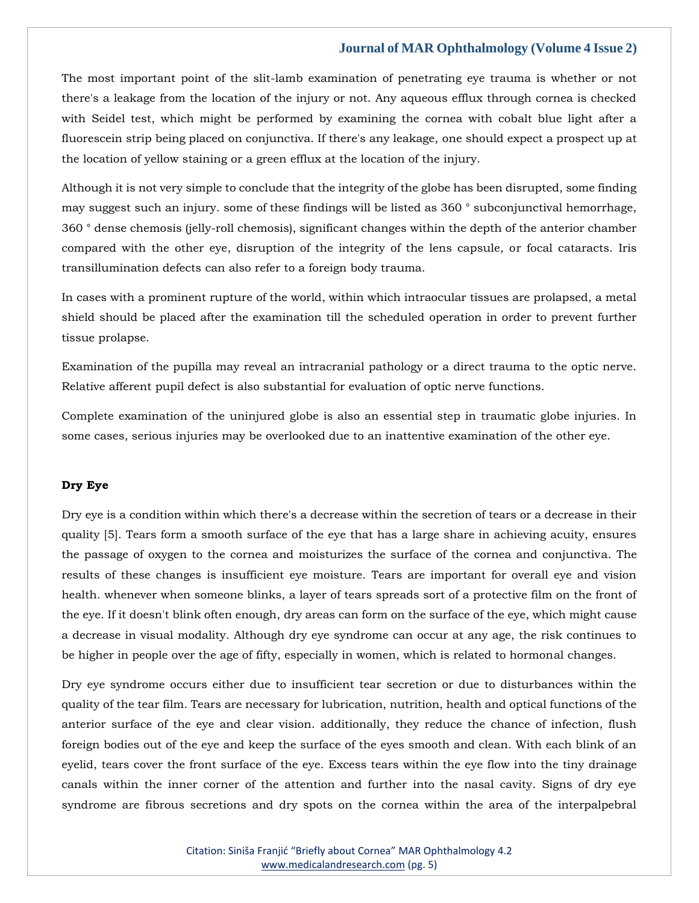The most important point of the slit-lamb examination of penetrating eye trauma is whether or not there's a leakage from the location of the injury or not. Any aqueous efflux through cornea is checked with Seidel test, which might be performed by examining the cornea with cobalt blue light after a fluorescein strip being placed on conjunctiva. If there's any leakage, one should expect a prospect up at the location of yellow staining or a green efflux at the location of the injury.

Although it is not very simple to conclude that the integrity of the globe has been disrupted, some finding may suggest such an injury. some of these findings will be listed as 360 ° subconjunctival hemorrhage, 360 ° dense chemosis (jelly-roll chemosis), significant changes within the depth of the anterior chamber compared with the other eye, disruption of the integrity of the lens capsule, or focal cataracts. Iris transillumination defects can also refer to a foreign body trauma.

In cases with a prominent rupture of the world, within which intraocular tissues are prolapsed, a metal shield should be placed after the examination till the scheduled operation in order to prevent further tissue prolapse.

Examination of the pupilla may reveal an intracranial pathology or a direct trauma to the optic nerve. Relative afferent pupil defect is also substantial for evaluation of optic nerve functions.

Complete examination of the uninjured globe is also an essential step in traumatic globe injuries. In some cases, serious injuries may be overlooked due to an inattentive examination of the other eye.

#### **Dry Eye**

Dry eye is a condition within which there's a decrease within the secretion of tears or a decrease in their quality [5]. Tears form a smooth surface of the eye that has a large share in achieving acuity, ensures the passage of oxygen to the cornea and moisturizes the surface of the cornea and conjunctiva. The results of these changes is insufficient eye moisture. Tears are important for overall eye and vision health. whenever when someone blinks, a layer of tears spreads sort of a protective film on the front of the eye. If it doesn't blink often enough, dry areas can form on the surface of the eye, which might cause a decrease in visual modality. Although dry eye syndrome can occur at any age, the risk continues to be higher in people over the age of fifty, especially in women, which is related to hormonal changes.

Dry eye syndrome occurs either due to insufficient tear secretion or due to disturbances within the quality of the tear film. Tears are necessary for lubrication, nutrition, health and optical functions of the anterior surface of the eye and clear vision. additionally, they reduce the chance of infection, flush foreign bodies out of the eye and keep the surface of the eyes smooth and clean. With each blink of an eyelid, tears cover the front surface of the eye. Excess tears within the eye flow into the tiny drainage canals within the inner corner of the attention and further into the nasal cavity. Signs of dry eye syndrome are fibrous secretions and dry spots on the cornea within the area of the interpalpebral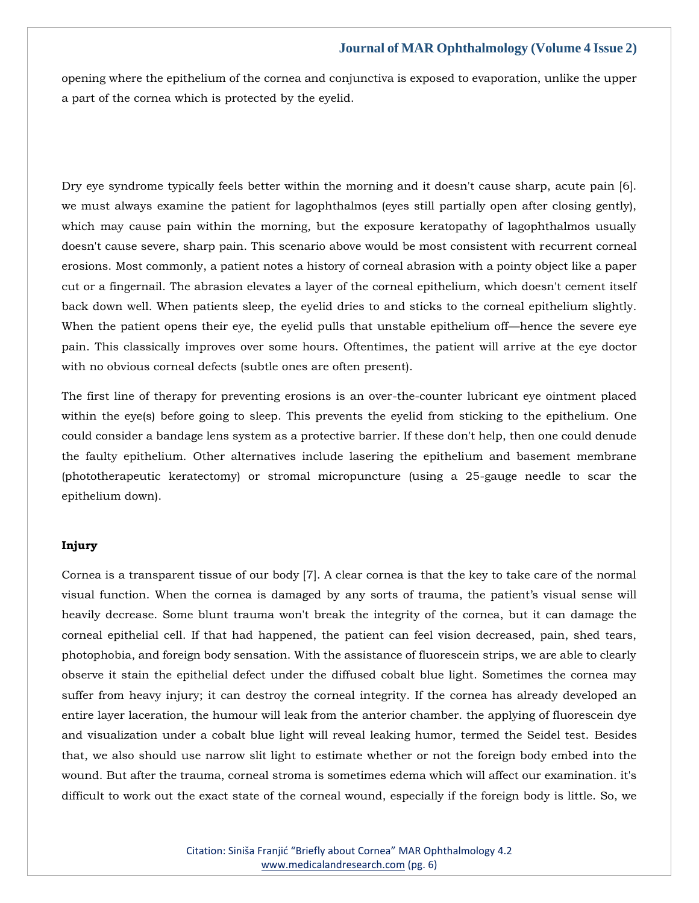opening where the epithelium of the cornea and conjunctiva is exposed to evaporation, unlike the upper a part of the cornea which is protected by the eyelid.

Dry eye syndrome typically feels better within the morning and it doesn't cause sharp, acute pain [6]. we must always examine the patient for lagophthalmos (eyes still partially open after closing gently), which may cause pain within the morning, but the exposure keratopathy of lagophthalmos usually doesn't cause severe, sharp pain. This scenario above would be most consistent with recurrent corneal erosions. Most commonly, a patient notes a history of corneal abrasion with a pointy object like a paper cut or a fingernail. The abrasion elevates a layer of the corneal epithelium, which doesn't cement itself back down well. When patients sleep, the eyelid dries to and sticks to the corneal epithelium slightly. When the patient opens their eye, the eyelid pulls that unstable epithelium off—hence the severe eye pain. This classically improves over some hours. Oftentimes, the patient will arrive at the eye doctor with no obvious corneal defects (subtle ones are often present).

The first line of therapy for preventing erosions is an over-the-counter lubricant eye ointment placed within the eye(s) before going to sleep. This prevents the eyelid from sticking to the epithelium. One could consider a bandage lens system as a protective barrier. If these don't help, then one could denude the faulty epithelium. Other alternatives include lasering the epithelium and basement membrane (phototherapeutic keratectomy) or stromal micropuncture (using a 25-gauge needle to scar the epithelium down).

# **Injury**

Cornea is a transparent tissue of our body [7]. A clear cornea is that the key to take care of the normal visual function. When the cornea is damaged by any sorts of trauma, the patient's visual sense will heavily decrease. Some blunt trauma won't break the integrity of the cornea, but it can damage the corneal epithelial cell. If that had happened, the patient can feel vision decreased, pain, shed tears, photophobia, and foreign body sensation. With the assistance of fluorescein strips, we are able to clearly observe it stain the epithelial defect under the diffused cobalt blue light. Sometimes the cornea may suffer from heavy injury; it can destroy the corneal integrity. If the cornea has already developed an entire layer laceration, the humour will leak from the anterior chamber. the applying of fluorescein dye and visualization under a cobalt blue light will reveal leaking humor, termed the Seidel test. Besides that, we also should use narrow slit light to estimate whether or not the foreign body embed into the wound. But after the trauma, corneal stroma is sometimes edema which will affect our examination. it's difficult to work out the exact state of the corneal wound, especially if the foreign body is little. So, we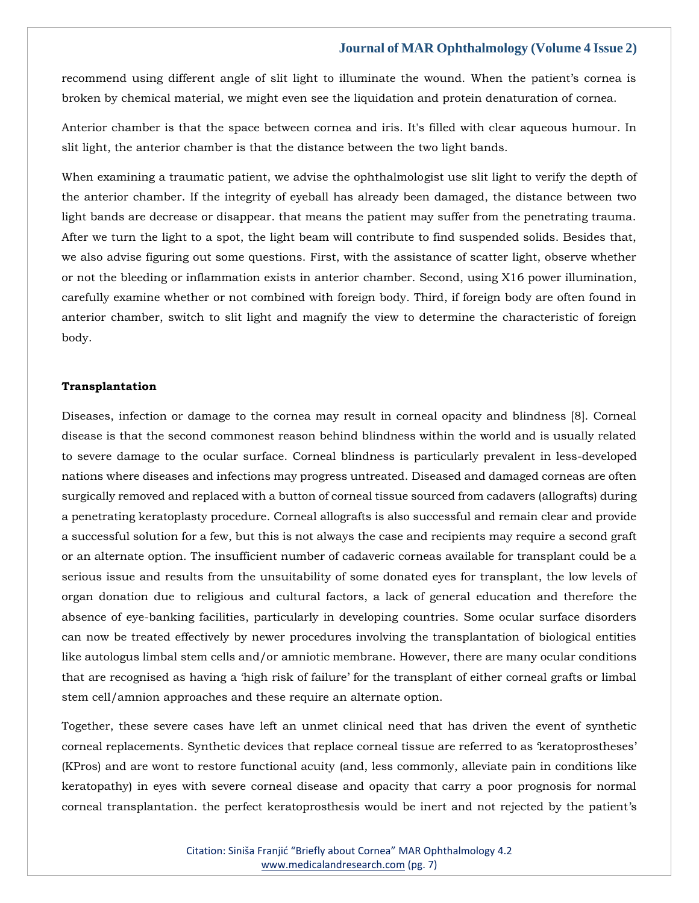recommend using different angle of slit light to illuminate the wound. When the patient's cornea is broken by chemical material, we might even see the liquidation and protein denaturation of cornea.

Anterior chamber is that the space between cornea and iris. It's filled with clear aqueous humour. In slit light, the anterior chamber is that the distance between the two light bands.

When examining a traumatic patient, we advise the ophthalmologist use slit light to verify the depth of the anterior chamber. If the integrity of eyeball has already been damaged, the distance between two light bands are decrease or disappear. that means the patient may suffer from the penetrating trauma. After we turn the light to a spot, the light beam will contribute to find suspended solids. Besides that, we also advise figuring out some questions. First, with the assistance of scatter light, observe whether or not the bleeding or inflammation exists in anterior chamber. Second, using X16 power illumination, carefully examine whether or not combined with foreign body. Third, if foreign body are often found in anterior chamber, switch to slit light and magnify the view to determine the characteristic of foreign body.

#### **Transplantation**

Diseases, infection or damage to the cornea may result in corneal opacity and blindness [8]. Corneal disease is that the second commonest reason behind blindness within the world and is usually related to severe damage to the ocular surface. Corneal blindness is particularly prevalent in less-developed nations where diseases and infections may progress untreated. Diseased and damaged corneas are often surgically removed and replaced with a button of corneal tissue sourced from cadavers (allografts) during a penetrating keratoplasty procedure. Corneal allografts is also successful and remain clear and provide a successful solution for a few, but this is not always the case and recipients may require a second graft or an alternate option. The insufficient number of cadaveric corneas available for transplant could be a serious issue and results from the unsuitability of some donated eyes for transplant, the low levels of organ donation due to religious and cultural factors, a lack of general education and therefore the absence of eye-banking facilities, particularly in developing countries. Some ocular surface disorders can now be treated effectively by newer procedures involving the transplantation of biological entities like autologus limbal stem cells and/or amniotic membrane. However, there are many ocular conditions that are recognised as having a 'high risk of failure' for the transplant of either corneal grafts or limbal stem cell/amnion approaches and these require an alternate option.

Together, these severe cases have left an unmet clinical need that has driven the event of synthetic corneal replacements. Synthetic devices that replace corneal tissue are referred to as 'keratoprostheses' (KPros) and are wont to restore functional acuity (and, less commonly, alleviate pain in conditions like keratopathy) in eyes with severe corneal disease and opacity that carry a poor prognosis for normal corneal transplantation. the perfect keratoprosthesis would be inert and not rejected by the patient's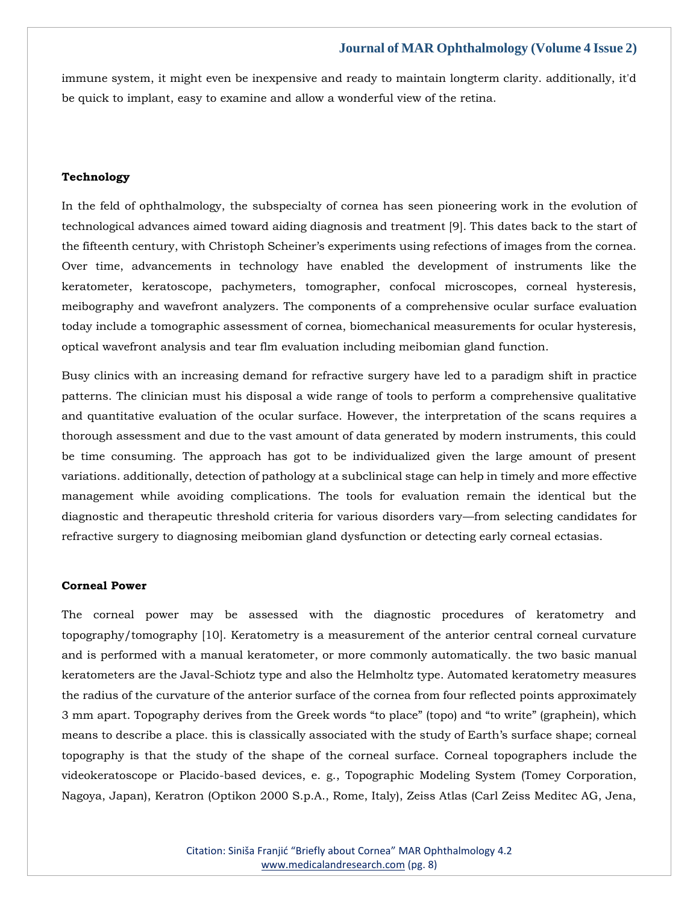immune system, it might even be inexpensive and ready to maintain longterm clarity. additionally, it'd be quick to implant, easy to examine and allow a wonderful view of the retina.

#### **Technology**

In the feld of ophthalmology, the subspecialty of cornea has seen pioneering work in the evolution of technological advances aimed toward aiding diagnosis and treatment [9]. This dates back to the start of the fifteenth century, with Christoph Scheiner's experiments using refections of images from the cornea. Over time, advancements in technology have enabled the development of instruments like the keratometer, keratoscope, pachymeters, tomographer, confocal microscopes, corneal hysteresis, meibography and wavefront analyzers. The components of a comprehensive ocular surface evaluation today include a tomographic assessment of cornea, biomechanical measurements for ocular hysteresis, optical wavefront analysis and tear flm evaluation including meibomian gland function.

Busy clinics with an increasing demand for refractive surgery have led to a paradigm shift in practice patterns. The clinician must his disposal a wide range of tools to perform a comprehensive qualitative and quantitative evaluation of the ocular surface. However, the interpretation of the scans requires a thorough assessment and due to the vast amount of data generated by modern instruments, this could be time consuming. The approach has got to be individualized given the large amount of present variations. additionally, detection of pathology at a subclinical stage can help in timely and more effective management while avoiding complications. The tools for evaluation remain the identical but the diagnostic and therapeutic threshold criteria for various disorders vary—from selecting candidates for refractive surgery to diagnosing meibomian gland dysfunction or detecting early corneal ectasias.

#### **Corneal Power**

The corneal power may be assessed with the diagnostic procedures of keratometry and topography/tomography [10]. Keratometry is a measurement of the anterior central corneal curvature and is performed with a manual keratometer, or more commonly automatically. the two basic manual keratometers are the Javal-Schiotz type and also the Helmholtz type. Automated keratometry measures the radius of the curvature of the anterior surface of the cornea from four reflected points approximately 3 mm apart. Topography derives from the Greek words "to place" (topo) and "to write" (graphein), which means to describe a place. this is classically associated with the study of Earth's surface shape; corneal topography is that the study of the shape of the corneal surface. Corneal topographers include the videokeratoscope or Placido-based devices, e. g., Topographic Modeling System (Tomey Corporation, Nagoya, Japan), Keratron (Optikon 2000 S.p.A., Rome, Italy), Zeiss Atlas (Carl Zeiss Meditec AG, Jena,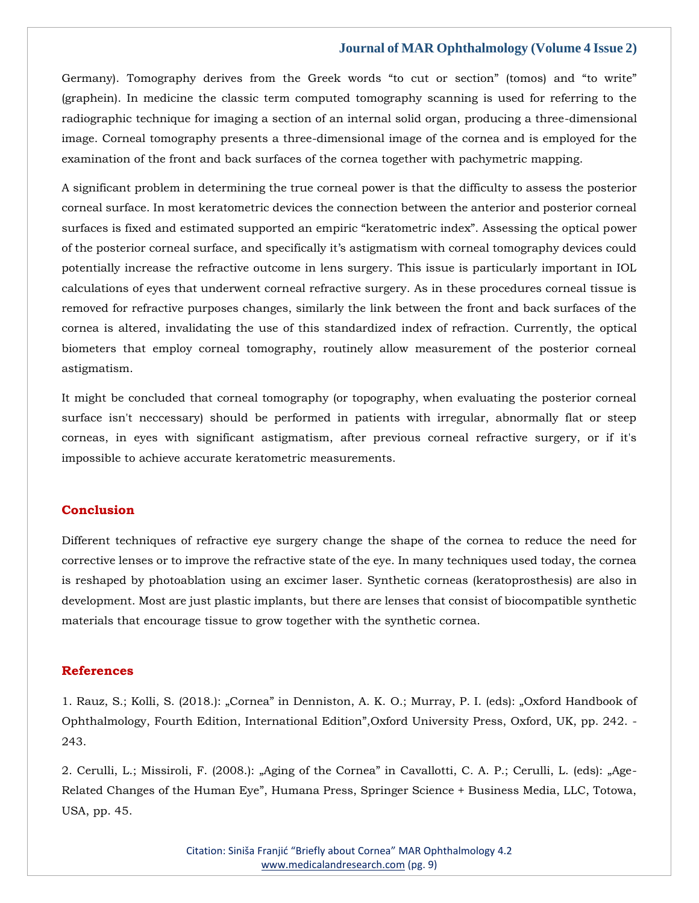Germany). Tomography derives from the Greek words "to cut or section" (tomos) and "to write" (graphein). In medicine the classic term computed tomography scanning is used for referring to the radiographic technique for imaging a section of an internal solid organ, producing a three-dimensional image. Corneal tomography presents a three-dimensional image of the cornea and is employed for the examination of the front and back surfaces of the cornea together with pachymetric mapping.

A significant problem in determining the true corneal power is that the difficulty to assess the posterior corneal surface. In most keratometric devices the connection between the anterior and posterior corneal surfaces is fixed and estimated supported an empiric "keratometric index". Assessing the optical power of the posterior corneal surface, and specifically it's astigmatism with corneal tomography devices could potentially increase the refractive outcome in lens surgery. This issue is particularly important in IOL calculations of eyes that underwent corneal refractive surgery. As in these procedures corneal tissue is removed for refractive purposes changes, similarly the link between the front and back surfaces of the cornea is altered, invalidating the use of this standardized index of refraction. Currently, the optical biometers that employ corneal tomography, routinely allow measurement of the posterior corneal astigmatism.

It might be concluded that corneal tomography (or topography, when evaluating the posterior corneal surface isn't neccessary) should be performed in patients with irregular, abnormally flat or steep corneas, in eyes with significant astigmatism, after previous corneal refractive surgery, or if it's impossible to achieve accurate keratometric measurements.

# **Conclusion**

Different techniques of refractive eye surgery change the shape of the cornea to reduce the need for corrective lenses or to improve the refractive state of the eye. In many techniques used today, the cornea is reshaped by photoablation using an excimer laser. Synthetic corneas (keratoprosthesis) are also in development. Most are just plastic implants, but there are lenses that consist of biocompatible synthetic materials that encourage tissue to grow together with the synthetic cornea.

#### **References**

[1. Rauz, S.; Kolli, S. \(2018.\): "Cornea" in Denniston, A. K.](https://www.google.com/search?q=Oxford+Handbook+of+Ophthalmology%2C+Fourth+Edition%2C+International+Edition&sxsrf=ALiCzsbX1swwzyNDKdlRqUAx8Se1zOrgbA%3A1651227009262&ei=gblrYo7SD5SC4-EPvM6l-Ao&ved=0ahUKEwjOltL6g7n3AhUUwTgGHTxnCa8Q4dUDCA4&oq=Oxford+Handbook+of+Ophthalmology%2C+Fourth+Edition%2C+International+Edition&gs_lcp=Cgdnd3Mtd2l6EAw6BwgjEOoCECdKBAhBGABKBAhGGABQnwlYnwlgmBJoAXABeACAAXmIAXmSAQMwLjGYAQCgAQGgAQKwAQrAAQE&sclient=gws-wiz) O.; Murray, P. I. (eds): "Oxford Handbook of [Ophthalmology, Fourth Edition, International Edition",Oxford University Press, Oxford, UK, pp. 242.](https://www.google.com/search?q=Oxford+Handbook+of+Ophthalmology%2C+Fourth+Edition%2C+International+Edition&sxsrf=ALiCzsbX1swwzyNDKdlRqUAx8Se1zOrgbA%3A1651227009262&ei=gblrYo7SD5SC4-EPvM6l-Ao&ved=0ahUKEwjOltL6g7n3AhUUwTgGHTxnCa8Q4dUDCA4&oq=Oxford+Handbook+of+Ophthalmology%2C+Fourth+Edition%2C+International+Edition&gs_lcp=Cgdnd3Mtd2l6EAw6BwgjEOoCECdKBAhBGABKBAhGGABQnwlYnwlgmBJoAXABeACAAXmIAXmSAQMwLjGYAQCgAQGgAQKwAQrAAQE&sclient=gws-wiz) - [243.](https://www.google.com/search?q=Oxford+Handbook+of+Ophthalmology%2C+Fourth+Edition%2C+International+Edition&sxsrf=ALiCzsbX1swwzyNDKdlRqUAx8Se1zOrgbA%3A1651227009262&ei=gblrYo7SD5SC4-EPvM6l-Ao&ved=0ahUKEwjOltL6g7n3AhUUwTgGHTxnCa8Q4dUDCA4&oq=Oxford+Handbook+of+Ophthalmology%2C+Fourth+Edition%2C+International+Edition&gs_lcp=Cgdnd3Mtd2l6EAw6BwgjEOoCECdKBAhBGABKBAhGGABQnwlYnwlgmBJoAXABeACAAXmIAXmSAQMwLjGYAQCgAQGgAQKwAQrAAQE&sclient=gws-wiz)

[2. Cerulli, L.; Missiroli, F. \(2008.\): "Aging of the Cornea" in Cavallotti, C. A. P.; Cerulli, L. \(eds\): "Age](https://www.google.com/search?q=Age-Related+Changes+of+the+Human+Eye&sxsrf=ALiCzsboteURTaZXXzfkDnk5UfGmj-GjRw%3A1651228676334&ei=BMBrYv7oE6yW4-EPrJqw0AI&ved=0ahUKEwj--seVirn3AhUsyzgGHSwNDCoQ4dUDCA4&oq=Age-Related+Changes+of+the+Human+Eye&gs_lcp=Cgdnd3Mtd2l6EAwyBggAEBYQHjoHCCMQ6gIQJ0oECEEYAEoECEYYAFDaAljaAmDDBmgBcAF4AIABdYgBdZIBAzAuMZgBAKABAaABArABCsABAQ&sclient=gws-wiz)-[Related Changes of the Human Eye", Humana Press, Springer Science + Business Media, LLC, Totowa,](https://www.google.com/search?q=Age-Related+Changes+of+the+Human+Eye&sxsrf=ALiCzsboteURTaZXXzfkDnk5UfGmj-GjRw%3A1651228676334&ei=BMBrYv7oE6yW4-EPrJqw0AI&ved=0ahUKEwj--seVirn3AhUsyzgGHSwNDCoQ4dUDCA4&oq=Age-Related+Changes+of+the+Human+Eye&gs_lcp=Cgdnd3Mtd2l6EAwyBggAEBYQHjoHCCMQ6gIQJ0oECEEYAEoECEYYAFDaAljaAmDDBmgBcAF4AIABdYgBdZIBAzAuMZgBAKABAaABArABCsABAQ&sclient=gws-wiz)  [USA, pp. 45.](https://www.google.com/search?q=Age-Related+Changes+of+the+Human+Eye&sxsrf=ALiCzsboteURTaZXXzfkDnk5UfGmj-GjRw%3A1651228676334&ei=BMBrYv7oE6yW4-EPrJqw0AI&ved=0ahUKEwj--seVirn3AhUsyzgGHSwNDCoQ4dUDCA4&oq=Age-Related+Changes+of+the+Human+Eye&gs_lcp=Cgdnd3Mtd2l6EAwyBggAEBYQHjoHCCMQ6gIQJ0oECEEYAEoECEYYAFDaAljaAmDDBmgBcAF4AIABdYgBdZIBAzAuMZgBAKABAaABArABCsABAQ&sclient=gws-wiz)